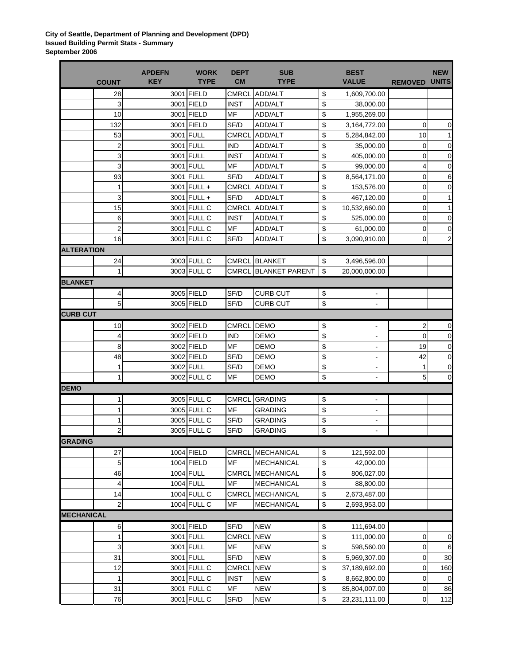**City of Seattle, Department of Planning and Development (DPD) Issued Building Permit Stats - Summary September 2006**

|                   |                         | <b>APDEFN</b><br><b>KEY</b> | <b>WORK</b><br><b>TYPE</b> | <b>DEPT</b><br><b>CM</b> | <b>SUB</b><br><b>TYPE</b> | <b>BEST</b><br><b>VALUE</b>        |                | <b>NEW</b><br><b>UNITS</b> |
|-------------------|-------------------------|-----------------------------|----------------------------|--------------------------|---------------------------|------------------------------------|----------------|----------------------------|
|                   | <b>COUNT</b>            |                             |                            |                          |                           |                                    | <b>REMOVED</b> |                            |
|                   | 28                      |                             | 3001 FIELD                 | <b>CMRCL</b>             | ADD/ALT                   | \$<br>1,609,700.00                 |                |                            |
|                   | 3                       |                             | 3001 FIELD                 | <b>INST</b>              | <b>ADD/ALT</b>            | \$<br>38,000.00                    |                |                            |
|                   | 10                      |                             | 3001 FIELD                 | MF                       | <b>ADD/ALT</b>            | \$<br>1,955,269.00                 |                |                            |
|                   | 132                     |                             | 3001 FIELD                 | SF/D                     | <b>ADD/ALT</b>            | \$<br>3,164,772.00                 | 0              | $\mathbf 0$                |
|                   | 53                      |                             | 3001 FULL                  | <b>CMRCL</b>             | ADD/ALT                   | \$<br>5,284,842.00                 | 10             | $\mathbf{1}$               |
|                   | $\overline{\mathbf{c}}$ |                             | 3001 FULL                  | <b>IND</b>               | ADD/ALT                   | \$<br>35,000.00                    | 0              | $\pmb{0}$                  |
|                   | 3                       |                             | 3001 FULL                  | <b>INST</b>              | ADD/ALT                   | \$<br>405,000.00                   | 0              | $\mathbf 0$                |
|                   | 3                       |                             | 3001 FULL                  | MF                       | ADD/ALT                   | \$<br>99,000.00                    | 4              | $\mathbf 0$                |
|                   | 93                      |                             | 3001 FULL                  | SF/D                     | ADD/ALT                   | \$<br>8,564,171.00                 | 0              | 6                          |
|                   | 1                       |                             | 3001 FULL +                |                          | CMRCL ADD/ALT             | \$<br>153,576.00                   | 0              | $\mathbf 0$                |
|                   | 3                       |                             | 3001 FULL +                | SF/D                     | ADD/ALT                   | \$<br>467,120.00                   | 0              | 1                          |
|                   | 15                      |                             | 3001 FULL C                |                          | CMRCL ADD/ALT             | \$<br>10,532,660.00                | 0              | 1                          |
|                   | 6                       |                             | 3001 FULL C                | <b>INST</b>              | ADD/ALT                   | \$<br>525,000.00                   | 0              | $\mathbf 0$                |
|                   | $\boldsymbol{2}$        |                             | 3001 FULL C                | MF                       | ADD/ALT                   | \$<br>61,000.00                    | 0              | $\mathbf 0$                |
|                   | 16                      |                             | 3001 FULL C                | SF/D                     | ADD/ALT                   | \$<br>3,090,910.00                 | 0              | 2                          |
| <b>ALTERATION</b> |                         |                             |                            |                          |                           |                                    |                |                            |
|                   | 24                      |                             | 3003 FULL C                |                          | <b>CMRCL BLANKET</b>      | \$<br>3,496,596.00                 |                |                            |
|                   | 1                       |                             | 3003 FULL C                | CMRCL                    | <b>BLANKET PARENT</b>     | \$<br>20,000,000.00                |                |                            |
| <b>BLANKET</b>    |                         |                             |                            |                          |                           |                                    |                |                            |
|                   | 4                       |                             | 3005 FIELD                 | SF/D                     | <b>CURB CUT</b>           | \$<br>۰                            |                |                            |
|                   | 5                       |                             | 3005 FIELD                 | SF/D                     | <b>CURB CUT</b>           | \$<br>÷,                           |                |                            |
| <b>CURB CUT</b>   |                         |                             |                            |                          |                           |                                    |                |                            |
|                   | 10                      |                             | 3002 FIELD                 | <b>CMRCL</b>             | <b>DEMO</b>               | \$                                 | 2              | $\pmb{0}$                  |
|                   | $\overline{4}$          |                             | 3002 FIELD                 | <b>IND</b>               | <b>DEMO</b>               | \$<br>$\qquad \qquad \blacksquare$ | 0              | $\pmb{0}$                  |
|                   | 8                       |                             | 3002 FIELD                 | MF                       | <b>DEMO</b>               | \$<br>$\blacksquare$               | 19             | $\pmb{0}$                  |
|                   | 48                      |                             | 3002 FIELD                 | SF/D                     | <b>DEMO</b>               | \$                                 | 42             | $\pmb{0}$                  |
|                   |                         |                             | 3002 FULL                  |                          |                           | \$<br>$\qquad \qquad \blacksquare$ |                |                            |
|                   | 1<br>1                  |                             | 3002 FULL C                | SF/D<br>MF               | <b>DEMO</b><br>DEMO       | \$<br>۰<br>$\blacksquare$          | 1<br>5         | $\pmb{0}$<br>$\mathbf 0$   |
| <b>DEMO</b>       |                         |                             |                            |                          |                           |                                    |                |                            |
|                   |                         |                             |                            |                          |                           |                                    |                |                            |
|                   | 1                       |                             | 3005 FULL C                | <b>CMRCL</b>             | <b>GRADING</b>            | \$<br>$\blacksquare$               |                |                            |
|                   | 1                       |                             | 3005 FULL C                | MF                       | <b>GRADING</b>            | \$<br>۰                            |                |                            |
|                   | 1                       |                             | 3005 FULL C                | SF/D                     | GRADING                   | \$<br>۰                            |                |                            |
|                   | $\overline{2}$          |                             | 3005 FULL C                | SF/D                     | <b>GRADING</b>            | \$<br>$\frac{1}{2}$                |                |                            |
| <b>GRADING</b>    |                         |                             |                            |                          |                           |                                    |                |                            |
|                   | 27                      |                             | 1004 FIELD                 | <b>CMRCL</b>             | <b>MECHANICAL</b>         | \$<br>121,592.00                   |                |                            |
|                   | 5                       |                             | 1004 FIELD                 | MF                       | <b>MECHANICAL</b>         | \$<br>42,000.00                    |                |                            |
|                   | 46                      |                             | 1004 FULL                  | CMRCL                    | <b>MECHANICAL</b>         | \$<br>806,027.00                   |                |                            |
|                   | 4                       |                             | 1004 FULL                  | MF                       | <b>MECHANICAL</b>         | \$<br>88,800.00                    |                |                            |
|                   | 14                      |                             | 1004 FULL C                | <b>CMRCL</b>             | <b>MECHANICAL</b>         | \$<br>2,673,487.00                 |                |                            |
|                   | $\overline{c}$          |                             | 1004 FULL C                | MF                       | <b>MECHANICAL</b>         | \$<br>2,693,953.00                 |                |                            |
| <b>MECHANICAL</b> |                         |                             |                            |                          |                           |                                    |                |                            |
|                   | 6                       |                             | 3001 FIELD                 | SF/D                     | <b>NEW</b>                | \$<br>111,694.00                   |                |                            |
|                   | 1                       |                             | 3001 FULL                  | <b>CMRCL</b>             | <b>NEW</b>                | \$<br>111,000.00                   | 0              | 0                          |
|                   | 3                       |                             | 3001 FULL                  | MF                       | <b>NEW</b>                | \$<br>598,560.00                   | 0              | 6                          |
|                   | 31                      |                             | 3001 FULL                  | SF/D                     | NEW                       | \$<br>5,969,307.00                 | 0              | 30                         |
|                   | 12                      |                             | 3001 FULL C                | <b>CMRCL</b>             | <b>NEW</b>                | \$<br>37,189,692.00                | 0              | 160                        |
|                   | 1                       |                             | 3001 FULL C                | <b>INST</b>              | <b>NEW</b>                | \$<br>8,662,800.00                 | 0              | $\mathbf 0$                |
|                   | 31                      |                             | 3001 FULL C                | MF                       | <b>NEW</b>                | \$<br>85,804,007.00                | 0              | 86                         |
|                   | 76                      |                             | 3001 FULL C                | SF/D                     | <b>NEW</b>                | \$<br>23,231,111.00                | 0              | 112                        |
|                   |                         |                             |                            |                          |                           |                                    |                |                            |